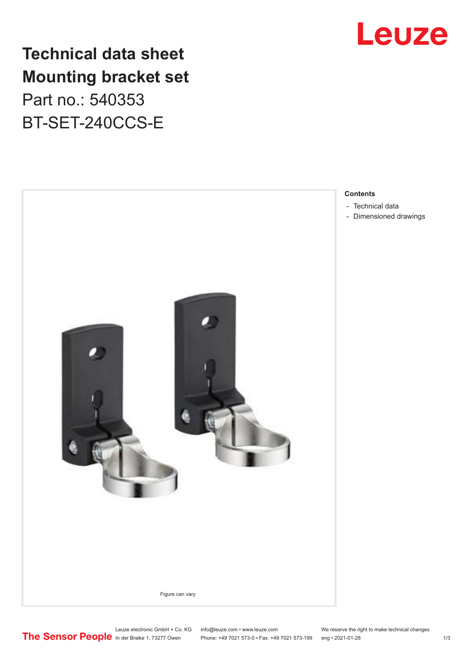

## **Technical data sheet Mounting bracket set** Part no.: 540353

BT-SET-240CCS-E



#### **Contents**

- [Technical data](#page-1-0)
- [Dimensioned drawings](#page-1-0)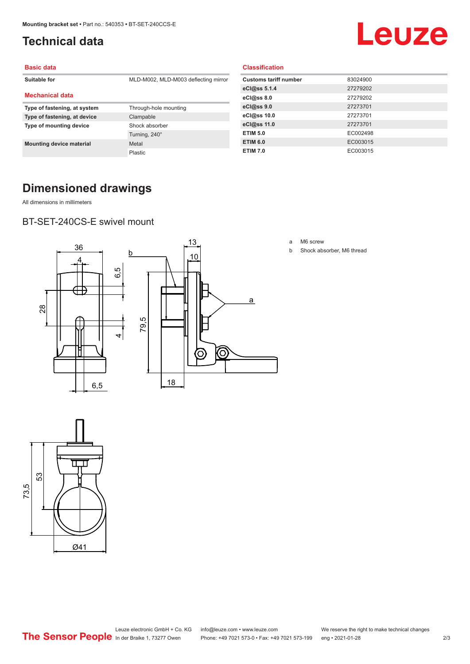## <span id="page-1-0"></span>**Technical data**

# Leuze

#### **Basic data**

| Suitable for                    | MLD-M002, MLD-M003 deflecting mirror |
|---------------------------------|--------------------------------------|
| <b>Mechanical data</b>          |                                      |
| Type of fastening, at system    | Through-hole mounting                |
| Type of fastening, at device    | Clampable                            |
| Type of mounting device         | Shock absorber                       |
|                                 | Turning, 240°                        |
| <b>Mounting device material</b> | Metal                                |
|                                 | Plastic                              |

#### **Classification**

| <b>Customs tariff number</b> | 83024900 |
|------------------------------|----------|
| eCl@ss 5.1.4                 | 27279202 |
| eCl@ss 8.0                   | 27279202 |
| eCl@ss 9.0                   | 27273701 |
| eCl@ss 10.0                  | 27273701 |
| eCl@ss 11.0                  | 27273701 |
| <b>ETIM 5.0</b>              | EC002498 |
| <b>ETIM 6.0</b>              | EC003015 |
| <b>ETIM 7.0</b>              | EC003015 |

## **Dimensioned drawings**

All dimensions in millimeters

### BT-SET-240CS-E swivel mount



a M6 screw

b Shock absorber, M6 thread